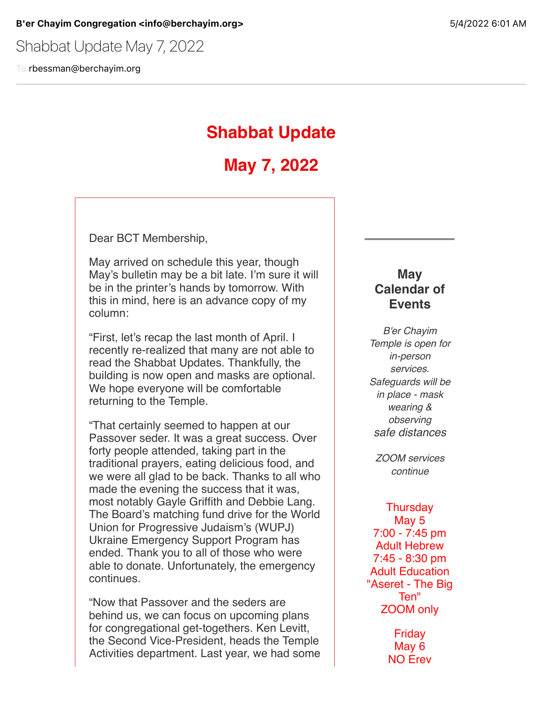Shabbat Update May 7, 2022

To rbessman@berchayim.org

# **Shabbat Update**

# **May 7, 2022**

Dear BCT Membership,

May arrived on schedule this year, though May's bulletin may be a bit late. I'm sure it will be in the printer's hands by tomorrow. With this in mind, here is an advance copy of my column:

"First, let's recap the last month of April. I recently re-realized that many are not able to read the Shabbat Updates. Thankfully, the building is now open and masks are optional. We hope everyone will be comfortable returning to the Temple.

"That certainly seemed to happen at our Passover seder. It was a great success. Over forty people attended, taking part in the traditional prayers, eating delicious food, and we were all glad to be back. Thanks to all who made the evening the success that it was, most notably Gayle Griffith and Debbie Lang. The Board's matching fund drive for the World Union for Progressive Judaism's (WUPJ) Ukraine Emergency Support Program has ended. Thank you to all of those who were able to donate. Unfortunately, the emergency continues.

"Now that Passover and the seders are behind us, we can focus on upcoming plans for congregational get-togethers. Ken Levitt, the Second Vice-President, heads the Temple Activities department. Last year, we had some

## **May Calendar of Events**

*B'er Chayim Temple is open for in-person services. Safeguards will be in place - mask wearing & observing safe distances*

*ZOOM services continue*

**Thursday** May 5 7:00 - 7:45 pm Adult Hebrew 7:45 - 8:30 pm Adult Education "Aseret - The Big Ten" ZOOM only

> Friday May 6 NO Erev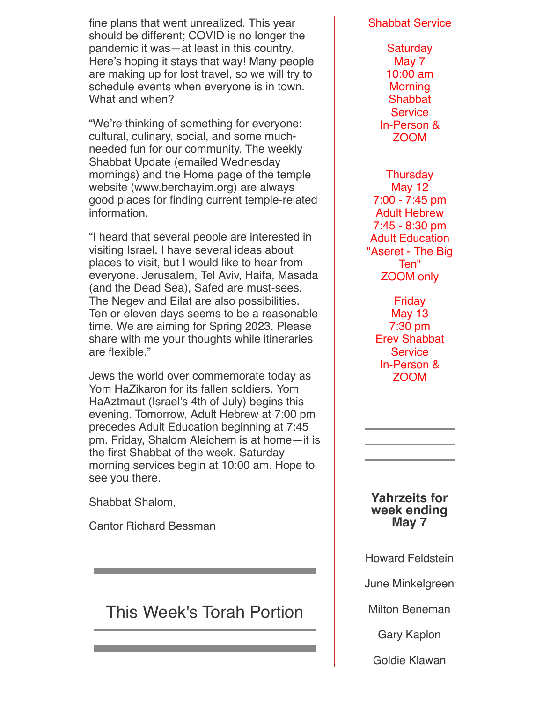fine plans that went unrealized. This year should be different; COVID is no longer the pandemic it was—at least in this country. Here's hoping it stays that way! Many people are making up for lost travel, so we will try to schedule events when everyone is in town. What and when?

"We're thinking of something for everyone: cultural, culinary, social, and some muchneeded fun for our community. The weekly Shabbat Update (emailed Wednesday mornings) and the Home page of the temple website (www.berchayim.org) are always good places for finding current temple-related information.

"I heard that several people are interested in visiting Israel. I have several ideas about places to visit, but I would like to hear from everyone. Jerusalem, Tel Aviv, Haifa, Masada (and the Dead Sea), Safed are must-sees. The Negev and Eilat are also possibilities. Ten or eleven days seems to be a reasonable time. We are aiming for Spring 2023. Please share with me your thoughts while itineraries are flexible."

Jews the world over commemorate today as Yom HaZikaron for its fallen soldiers. Yom HaAztmaut (Israel's 4th of July) begins this evening. Tomorrow, Adult Hebrew at 7:00 pm precedes Adult Education beginning at 7:45 pm. Friday, Shalom Aleichem is at home—it is the first Shabbat of the week. Saturday morning services begin at 10:00 am. Hope to see you there.

Shabbat Shalom,

Cantor Richard Bessman

# This Week's Torah Portion

#### Shabbat Service

**Saturday** May 7 10:00 am Morning **Shabbat Service** In-Person & ZOOM

**Thursday** May 12 7:00 - 7:45 pm Adult Hebrew 7:45 - 8:30 pm Adult Education "Aseret - The Big Ten" ZOOM only

**Friday** May 13 7:30 pm Erev Shabbat **Service** In-Person & ZOOM

**Yahrzeits for week ending May 7**

Howard Feldstein

June Minkelgreen

Milton Beneman

Gary Kaplon

Goldie Klawan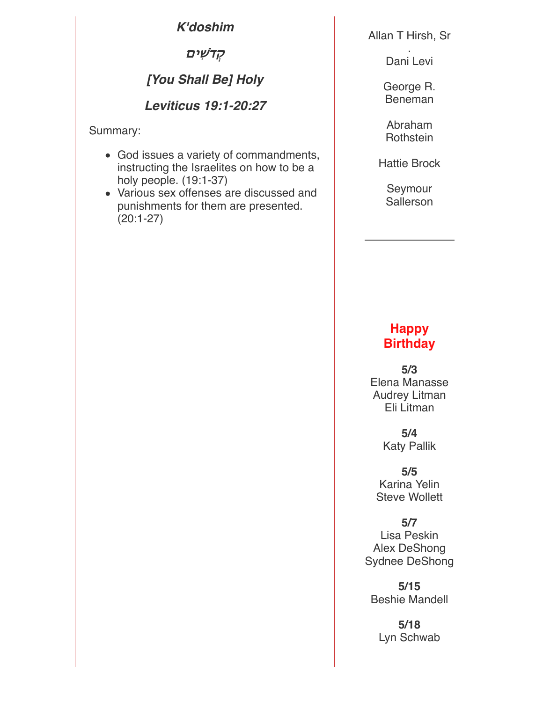*K'doshim*

**&ִ\$%ים**

# *[You Shall Be] Holy*

## *Leviticus 19:1-20:27*

Summary:

- God issues a variety of commandments, instructing the Israelites on how to be a holy people. (19:1-37)
- Various sex offenses are discussed and punishments for them are presented. (20:1-27)

Allan T Hirsh, Sr

. Dani Levi

George R. Beneman

Abraham **Rothstein** 

Hattie Brock

Seymour **Sallerson** 

## **Happy Birthday**

**5/3** Elena Manasse Audrey Litman Eli Litman

> **5/4** Katy Pallik

**5/5** Karina Yelin Steve Wollett

**5/7** Lisa Peskin Alex DeShong Sydnee DeShong

**5/15** Beshie Mandell

**5/18** Lyn Schwab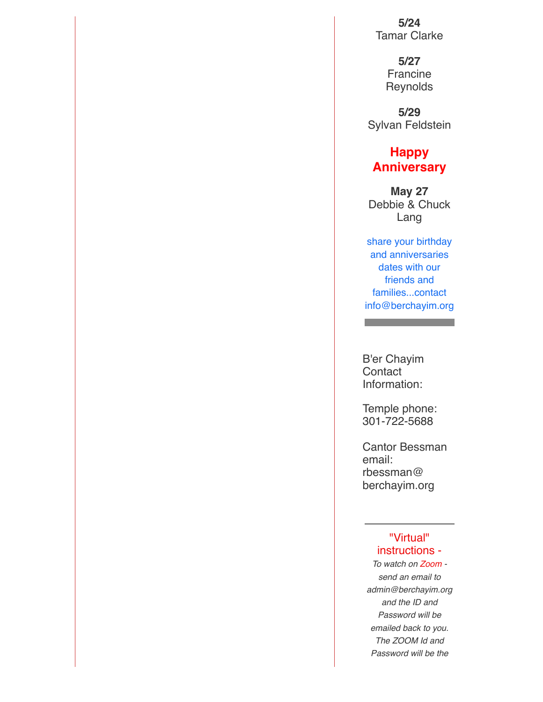**5/24** Tamar Clarke

> **5/27** Francine **Reynolds**

**5/29** Sylvan Feldstein

## **Happy Anniversary**

**May 27** Debbie & Chuck Lang

share your birthday and anniversaries dates with our friends and families...contact info@berchayim.org

a sa kacamatan ing Kabupatèn Kabupatèn Ing

B'er Chayim **Contact** Information:

Temple phone: 301-722-5688

Cantor Bessman email: rbessman@ berchayim.org

#### "Virtual" instructions -

*To watch on Zoom send an email to admin@berchayim.org and the ID and Password will be emailed back to you. The ZOOM Id and Password will be the*